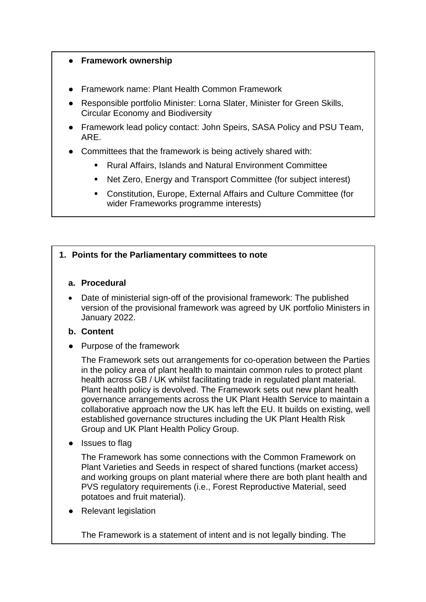## ● **Framework ownership**

- Framework name: Plant Health Common Framework
- Responsible portfolio Minister: Lorna Slater, Minister for Green Skills, Circular Economy and Biodiversity
- Framework lead policy contact: John Speirs, SASA Policy and PSU Team, ARE.
- Committees that the framework is being actively shared with:
	- Rural Affairs, Islands and Natural Environment Committee
	- Net Zero, Energy and Transport Committee (for subject interest)
	- Constitution, Europe, External Affairs and Culture Committee (for wider Frameworks programme interests)

## **1. Points for the Parliamentary committees to note**

## **a. Procedural**

 Date of ministerial sign-off of the provisional framework: The published version of the provisional framework was agreed by UK portfolio Ministers in January 2022.

## **b. Content**

● Purpose of the framework

The Framework sets out arrangements for co-operation between the Parties in the policy area of plant health to maintain common rules to protect plant health across GB / UK whilst facilitating trade in regulated plant material. Plant health policy is devolved. The Framework sets out new plant health governance arrangements across the UK Plant Health Service to maintain a collaborative approach now the UK has left the EU. It builds on existing, well established governance structures including the UK Plant Health Risk Group and UK Plant Health Policy Group.

● Issues to flag

The Framework has some connections with the Common Framework on Plant Varieties and Seeds in respect of shared functions (market access) and working groups on plant material where there are both plant health and PVS regulatory requirements (i.e., Forest Reproductive Material, seed potatoes and fruit material).

**Relevant legislation** 

The Framework is a statement of intent and is not legally binding. The